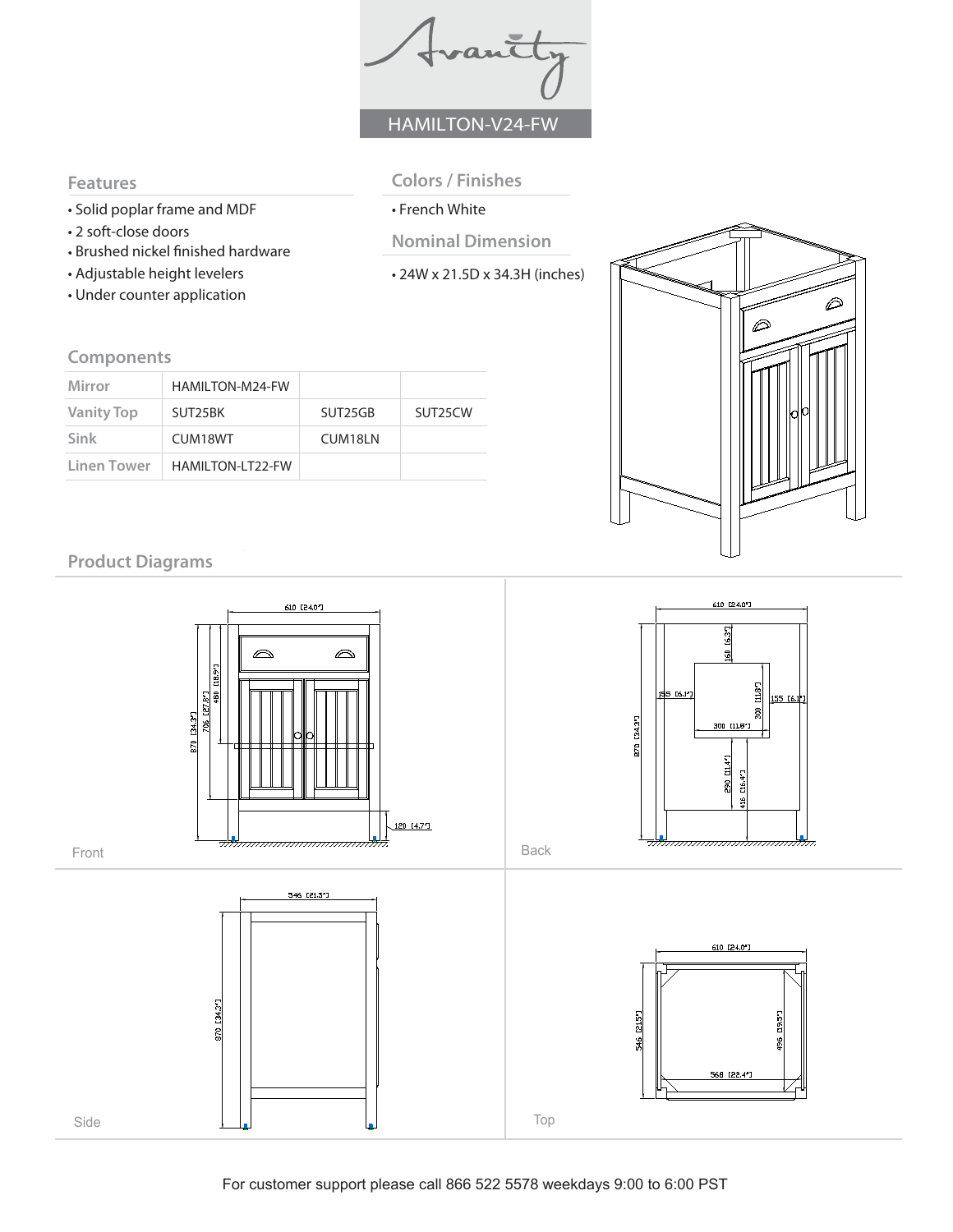frantly HAMILTON-V24-FW

#### **Features**

- Solid poplar frame and MDF
- 2 soft-close doors
- Brushed nickel finished hardware
- Adjustable height levelers
- Under counter application
- **Colors / Finishes**
- French White
- **Nominal Dimension**
- 24W x 21.5D x 34.3H (inches)

### **Components**

| Mirror            | HAMILTON-M24-FW         |         |                      |
|-------------------|-------------------------|---------|----------------------|
| <b>Vanity Top</b> | SUT25BK                 | SUT25GB | SUT <sub>25</sub> CW |
| Sink              | CUM18WT                 | CUM18LN |                      |
| Linen Tower       | <b>HAMILTON-LT22-FW</b> |         |                      |



# **Product Diagrams**

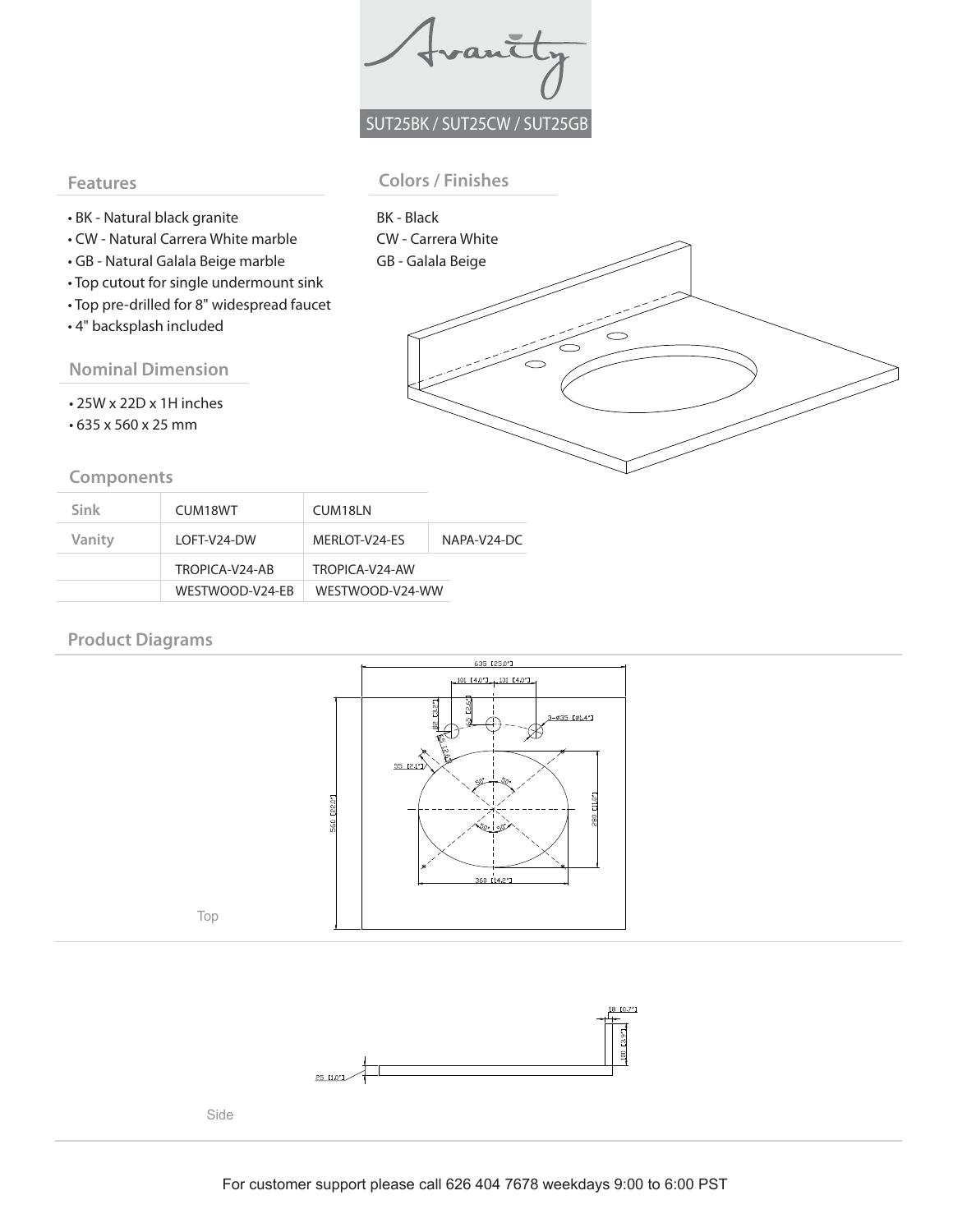Trantty SUT25BK / SUT25CW / SUT25GB

#### **Features**

#### **Colors / Finishes**

- BK Natural black granite
- CW Natural Carrera White marble
- GB Natural Galala Beige marble
- Top cutout for single undermount sink
- Top pre-drilled for 8" widespread faucet
- 4" backsplash included

**Nominal Dimension** 

- 25W x 22D x 1H inches
- 635 x 560 x 25 mm

#### **Components**

| BK - Black<br>CW - Carrera White |  |
|----------------------------------|--|
|                                  |  |
| GB - Galala Beige                |  |
|                                  |  |
|                                  |  |
|                                  |  |
|                                  |  |
|                                  |  |
|                                  |  |
|                                  |  |
|                                  |  |
|                                  |  |
|                                  |  |
|                                  |  |
|                                  |  |
|                                  |  |

| Sink   | CUM18WT         | CUM18LN         |             |  |
|--------|-----------------|-----------------|-------------|--|
| Vanity | LOFT-V24-DW     | MERLOT-V24-ES   | NAPA-V24-DC |  |
|        | TROPICA-V24-AB  | TROPICA-V24-AW  |             |  |
|        | WESTWOOD-V24-EB | WESTWOOD-V24-WW |             |  |

### **Product Diagrams**



Top



Side